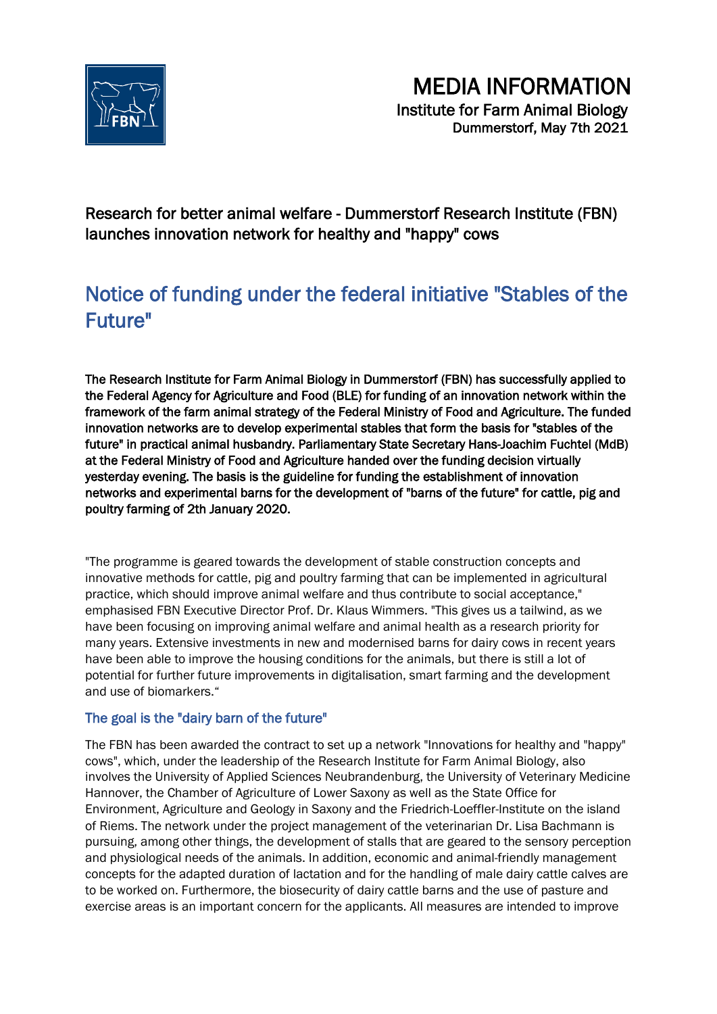

Research for better animal welfare - Dummerstorf Research Institute (FBN) launches innovation network for healthy and "happy" cows

## Notice of funding under the federal initiative "Stables of the Future"

The Research Institute for Farm Animal Biology in Dummerstorf (FBN) has successfully applied to the Federal Agency for Agriculture and Food (BLE) for funding of an innovation network within the framework of the farm animal strategy of the Federal Ministry of Food and Agriculture. The funded innovation networks are to develop experimental stables that form the basis for "stables of the future" in practical animal husbandry. Parliamentary State Secretary Hans-Joachim Fuchtel (MdB) at the Federal Ministry of Food and Agriculture handed over the funding decision virtually yesterday evening. The basis is the guideline for funding the establishment of innovation networks and experimental barns for the development of "barns of the future" for cattle, pig and poultry farming of 2th January 2020.

"The programme is geared towards the development of stable construction concepts and innovative methods for cattle, pig and poultry farming that can be implemented in agricultural practice, which should improve animal welfare and thus contribute to social acceptance," emphasised FBN Executive Director Prof. Dr. Klaus Wimmers. "This gives us a tailwind, as we have been focusing on improving animal welfare and animal health as a research priority for many years. Extensive investments in new and modernised barns for dairy cows in recent years have been able to improve the housing conditions for the animals, but there is still a lot of potential for further future improvements in digitalisation, smart farming and the development and use of biomarkers."

## The goal is the "dairy barn of the future"

The FBN has been awarded the contract to set up a network "Innovations for healthy and "happy" cows", which, under the leadership of the Research Institute for Farm Animal Biology, also involves the University of Applied Sciences Neubrandenburg, the University of Veterinary Medicine Hannover, the Chamber of Agriculture of Lower Saxony as well as the State Office for Environment, Agriculture and Geology in Saxony and the Friedrich-Loeffler-Institute on the island of Riems. The network under the project management of the veterinarian Dr. Lisa Bachmann is pursuing, among other things, the development of stalls that are geared to the sensory perception and physiological needs of the animals. In addition, economic and animal-friendly management concepts for the adapted duration of lactation and for the handling of male dairy cattle calves are to be worked on. Furthermore, the biosecurity of dairy cattle barns and the use of pasture and exercise areas is an important concern for the applicants. All measures are intended to improve